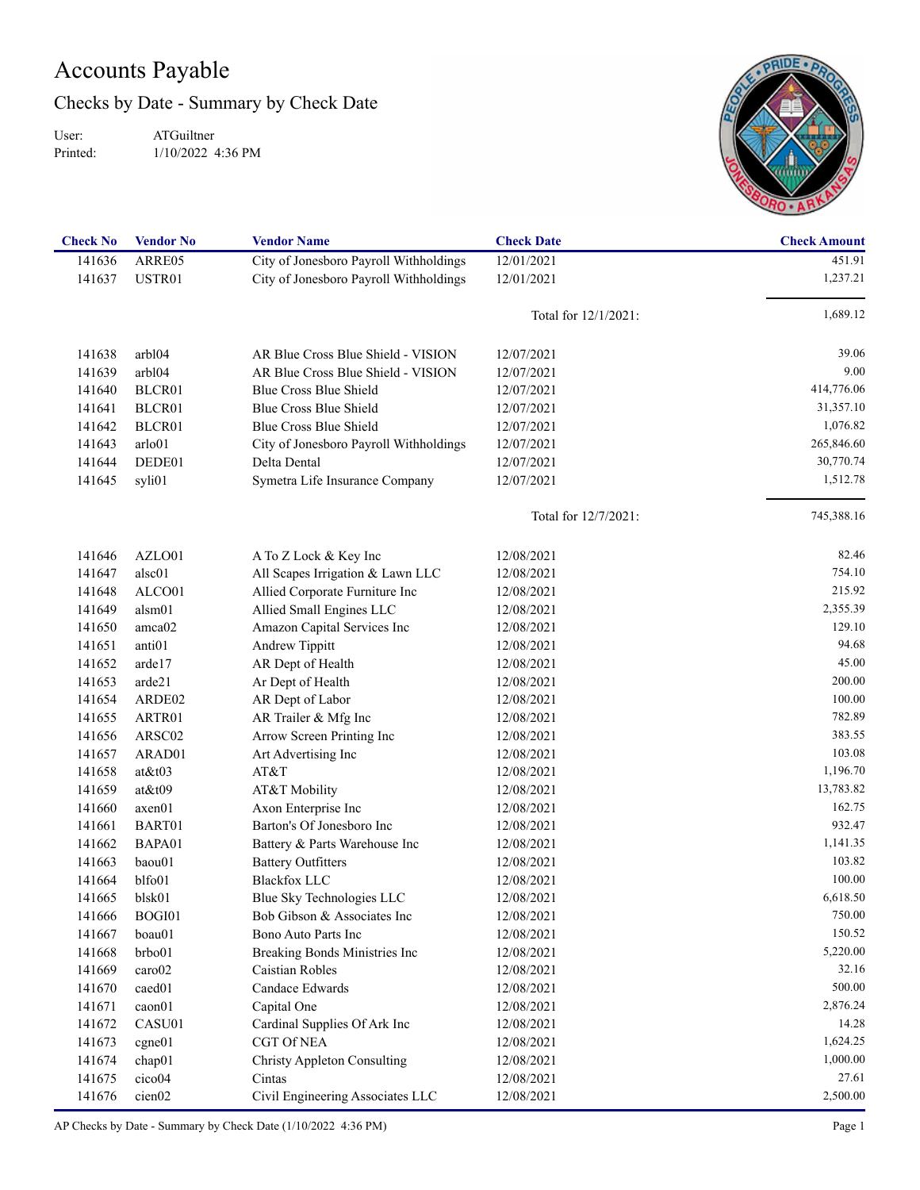## Accounts Payable

Checks by Date - Summary by Check Date

User: Printed:

ATGuiltner 1/10/2022 4:36 PM



| <b>Check No</b> | <b>Vendor No</b>   | <b>Vendor Name</b>                     | <b>Check Date</b>       | <b>Check Amount</b> |
|-----------------|--------------------|----------------------------------------|-------------------------|---------------------|
| 141636          | ARRE05             | City of Jonesboro Payroll Withholdings | 12/01/2021              | 451.91              |
| 141637          | USTR01             | City of Jonesboro Payroll Withholdings | 12/01/2021              | 1,237.21            |
|                 |                    |                                        | Total for 12/1/2021:    | 1,689.12            |
| 141638          | arbl04             | AR Blue Cross Blue Shield - VISION     | 12/07/2021              | 39.06               |
| 141639          | arb104             | AR Blue Cross Blue Shield - VISION     | 12/07/2021              | 9.00                |
| 141640          | BLCR01             | Blue Cross Blue Shield                 | 12/07/2021              | 414,776.06          |
| 141641          | BLCR01             | Blue Cross Blue Shield                 | 12/07/2021              | 31,357.10           |
| 141642          | BLCR01             | Blue Cross Blue Shield                 | 12/07/2021              | 1,076.82            |
| 141643          | arlo01             | City of Jonesboro Payroll Withholdings | 12/07/2021              | 265,846.60          |
| 141644          | DEDE01             | Delta Dental                           | 12/07/2021              | 30,770.74           |
| 141645          | syli01             | Symetra Life Insurance Company         | 12/07/2021              | 1,512.78            |
|                 |                    |                                        | Total for $12/7/2021$ : | 745,388.16          |
| 141646          | AZLO01             | A To Z Lock & Key Inc                  | 12/08/2021              | 82.46               |
| 141647          | alsc01             | All Scapes Irrigation & Lawn LLC       | 12/08/2021              | 754.10              |
| 141648          | ALCO01             | Allied Corporate Furniture Inc         | 12/08/2021              | 215.92              |
| 141649          | alsm01             | Allied Small Engines LLC               | 12/08/2021              | 2,355.39            |
| 141650          | amca02             | Amazon Capital Services Inc            | 12/08/2021              | 129.10              |
| 141651          | anti <sub>01</sub> | Andrew Tippitt                         | 12/08/2021              | 94.68               |
| 141652          | arde17             | AR Dept of Health                      | 12/08/2021              | 45.00               |
| 141653          | arde21             | Ar Dept of Health                      | 12/08/2021              | 200.00              |
| 141654          | ARDE02             | AR Dept of Labor                       | 12/08/2021              | 100.00              |
| 141655          | ARTR01             | AR Trailer & Mfg Inc                   | 12/08/2021              | 782.89              |
| 141656          | ARSC02             | Arrow Screen Printing Inc              | 12/08/2021              | 383.55              |
| 141657          | ARAD01             | Art Advertising Inc                    | 12/08/2021              | 103.08              |
| 141658          | $at\&t03$          | AT&T                                   | 12/08/2021              | 1,196.70            |
| 141659          | at&t09             | AT&T Mobility                          | 12/08/2021              | 13,783.82           |
| 141660          | axen01             | Axon Enterprise Inc                    | 12/08/2021              | 162.75              |
| 141661          | BART01             | Barton's Of Jonesboro Inc              | 12/08/2021              | 932.47              |
| 141662          | BAPA01             | Battery & Parts Warehouse Inc          | 12/08/2021              | 1,141.35            |
| 141663          | baou01             | <b>Battery Outfitters</b>              | 12/08/2021              | 103.82              |
| 141664          | blfo01             | <b>Blackfox LLC</b>                    | 12/08/2021              | 100.00              |
| 141665          | blsk01             | Blue Sky Technologies LLC              | 12/08/2021              | 6,618.50            |
| 141666          | BOGI01             | Bob Gibson & Associates Inc            | 12/08/2021              | 750.00              |
| 141667          | boau01             | Bono Auto Parts Inc                    | 12/08/2021              | 150.52              |
| 141668          | brbo01             | Breaking Bonds Ministries Inc          | 12/08/2021              | 5,220.00            |
| 141669          | caro02             | Caistian Robles                        | 12/08/2021              | 32.16               |
| 141670          | caed <sub>01</sub> | Candace Edwards                        | 12/08/2021              | 500.00              |
| 141671          | caon01             | Capital One                            | 12/08/2021              | 2,876.24            |
| 141672          | CASU01             | Cardinal Supplies Of Ark Inc           | 12/08/2021              | 14.28               |
| 141673          | cgne01             | <b>CGT Of NEA</b>                      | 12/08/2021              | 1,624.25            |
| 141674          | chap01             | <b>Christy Appleton Consulting</b>     | 12/08/2021              | 1,000.00            |
| 141675          | cico04             | Cintas                                 | 12/08/2021              | 27.61               |
| 141676          | cien <sub>02</sub> | Civil Engineering Associates LLC       | 12/08/2021              | 2,500.00            |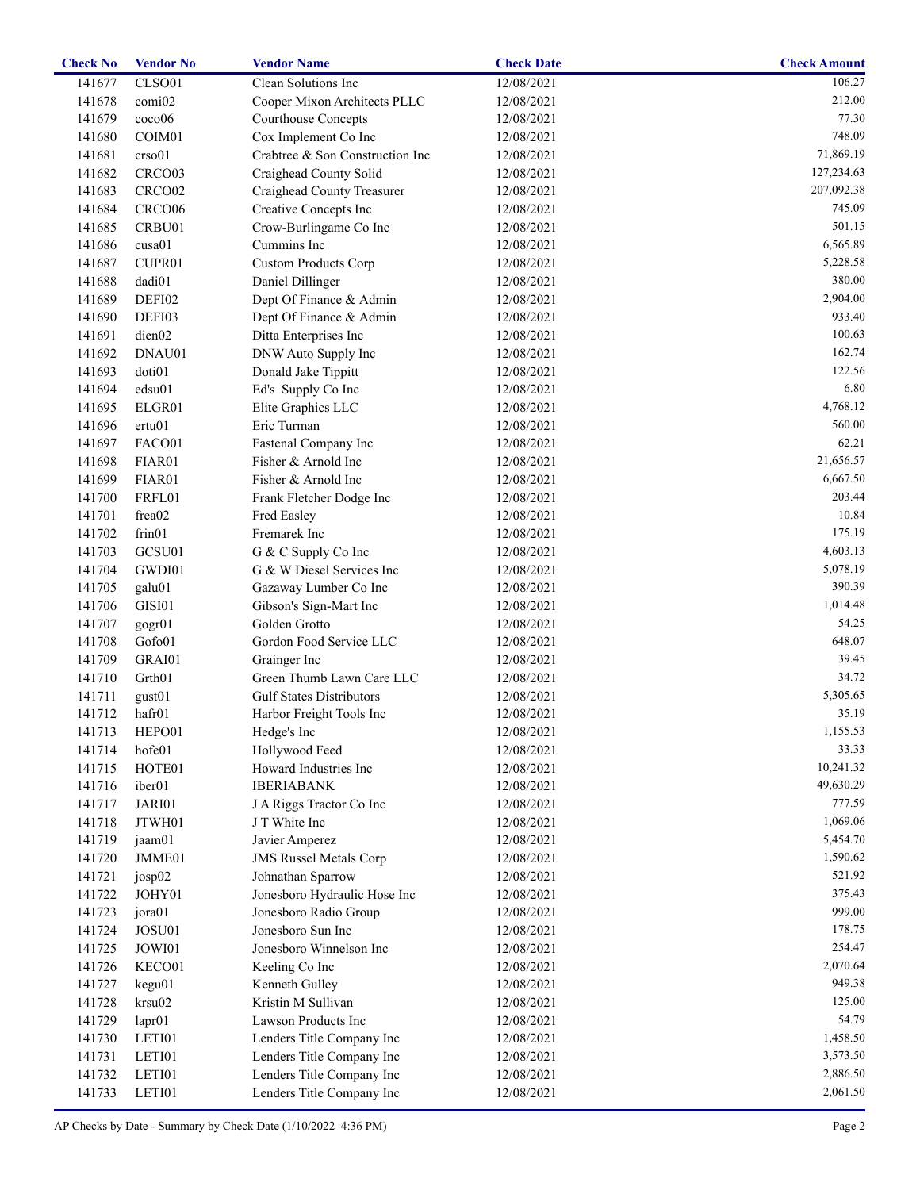| <b>Check No</b> | <b>Vendor No</b>   | <b>Vendor Name</b>              | <b>Check Date</b> | <b>Check Amount</b> |
|-----------------|--------------------|---------------------------------|-------------------|---------------------|
| 141677          | CLSO01             | Clean Solutions Inc             | 12/08/2021        | 106.27              |
| 141678          | comi02             | Cooper Mixon Architects PLLC    | 12/08/2021        | 212.00              |
| 141679          | coco06             | <b>Courthouse Concepts</b>      | 12/08/2021        | 77.30               |
| 141680          | COIM <sub>01</sub> | Cox Implement Co Inc            | 12/08/2021        | 748.09              |
| 141681          | crso01             | Crabtree & Son Construction Inc | 12/08/2021        | 71,869.19           |
| 141682          | CRCO03             | Craighead County Solid          | 12/08/2021        | 127,234.63          |
| 141683          | CRCO <sub>02</sub> | Craighead County Treasurer      | 12/08/2021        | 207,092.38          |
| 141684          | CRCO06             | Creative Concepts Inc           | 12/08/2021        | 745.09              |
| 141685          | CRBU01             | Crow-Burlingame Co Inc          | 12/08/2021        | 501.15              |
| 141686          | cusa01             | Cummins Inc                     | 12/08/2021        | 6,565.89            |
| 141687          | CUPR01             | <b>Custom Products Corp</b>     | 12/08/2021        | 5,228.58            |
| 141688          | dadi01             | Daniel Dillinger                | 12/08/2021        | 380.00              |
| 141689          | DEFI02             | Dept Of Finance & Admin         | 12/08/2021        | 2,904.00            |
| 141690          | DEFI03             | Dept Of Finance & Admin         | 12/08/2021        | 933.40              |
| 141691          | dien02             | Ditta Enterprises Inc           | 12/08/2021        | 100.63              |
| 141692          | DNAU01             | DNW Auto Supply Inc             | 12/08/2021        | 162.74              |
| 141693          | doti01             | Donald Jake Tippitt             | 12/08/2021        | 122.56              |
| 141694          | edsu01             | Ed's Supply Co Inc              | 12/08/2021        | 6.80                |
| 141695          | ELGR01             | Elite Graphics LLC              | 12/08/2021        | 4,768.12            |
| 141696          | ertu01             | Eric Turman                     | 12/08/2021        | 560.00              |
| 141697          | FACO01             | Fastenal Company Inc            | 12/08/2021        | 62.21               |
| 141698          | FIAR01             | Fisher & Arnold Inc             | 12/08/2021        | 21,656.57           |
| 141699          | FIAR01             | Fisher & Arnold Inc             | 12/08/2021        | 6,667.50            |
| 141700          | FRFL01             | Frank Fletcher Dodge Inc        | 12/08/2021        | 203.44              |
| 141701          | frea02             | Fred Easley                     | 12/08/2021        | 10.84               |
| 141702          | frin01             | Fremarek Inc                    | 12/08/2021        | 175.19              |
| 141703          | GCSU01             | G & C Supply Co Inc             | 12/08/2021        | 4,603.13            |
| 141704          | GWDI01             | G & W Diesel Services Inc       | 12/08/2021        | 5,078.19            |
| 141705          | galu01             | Gazaway Lumber Co Inc           | 12/08/2021        | 390.39              |
| 141706          | GISI01             | Gibson's Sign-Mart Inc          | 12/08/2021        | 1,014.48            |
| 141707          | gogr01             | Golden Grotto                   | 12/08/2021        | 54.25               |
| 141708          | Gofo01             | Gordon Food Service LLC         | 12/08/2021        | 648.07              |
| 141709          | GRAI01             | Grainger Inc                    | 12/08/2021        | 39.45               |
| 141710          | Grth <sub>01</sub> | Green Thumb Lawn Care LLC       | 12/08/2021        | 34.72               |
| 141711          | gust <sub>01</sub> | <b>Gulf States Distributors</b> | 12/08/2021        | 5,305.65            |
| 141712          | hafr01             | Harbor Freight Tools Inc        | 12/08/2021        | 35.19               |
| 141713          | HEPO01             | Hedge's Inc                     | 12/08/2021        | 1,155.53            |
| 141714          | hofe01             | Hollywood Feed                  | 12/08/2021        | 33.33               |
| 141715          | HOTE01             | Howard Industries Inc           | 12/08/2021        | 10,241.32           |
| 141716          | iber <sub>01</sub> | <b>IBERIABANK</b>               | 12/08/2021        | 49,630.29           |
| 141717          | JARI01             | J A Riggs Tractor Co Inc        | 12/08/2021        | 777.59              |
| 141718          | JTWH01             | J T White Inc                   | 12/08/2021        | 1,069.06            |
| 141719          | jaam01             | Javier Amperez                  | 12/08/2021        | 5,454.70            |
| 141720          | JMME01             | <b>JMS Russel Metals Corp</b>   | 12/08/2021        | 1,590.62            |
| 141721          | josp02             | Johnathan Sparrow               | 12/08/2021        | 521.92              |
| 141722          | JOHY01             | Jonesboro Hydraulic Hose Inc    | 12/08/2021        | 375.43              |
| 141723          | jora01             | Jonesboro Radio Group           | 12/08/2021        | 999.00              |
| 141724          | JOSU01             | Jonesboro Sun Inc               | 12/08/2021        | 178.75              |
| 141725          | JOWI01             | Jonesboro Winnelson Inc         | 12/08/2021        | 254.47              |
| 141726          | KECO01             | Keeling Co Inc                  | 12/08/2021        | 2,070.64            |
| 141727          | kegu01             | Kenneth Gulley                  | 12/08/2021        | 949.38              |
| 141728          | krsu02             | Kristin M Sullivan              | 12/08/2021        | 125.00              |
| 141729          | lapr01             | Lawson Products Inc             | 12/08/2021        | 54.79               |
| 141730          | LETI01             | Lenders Title Company Inc       | 12/08/2021        | 1,458.50            |
| 141731          | LETI01             | Lenders Title Company Inc       | 12/08/2021        | 3,573.50            |
| 141732          | LETI01             | Lenders Title Company Inc       | 12/08/2021        | 2,886.50            |
| 141733          | LETI01             | Lenders Title Company Inc       | 12/08/2021        | 2,061.50            |
|                 |                    |                                 |                   |                     |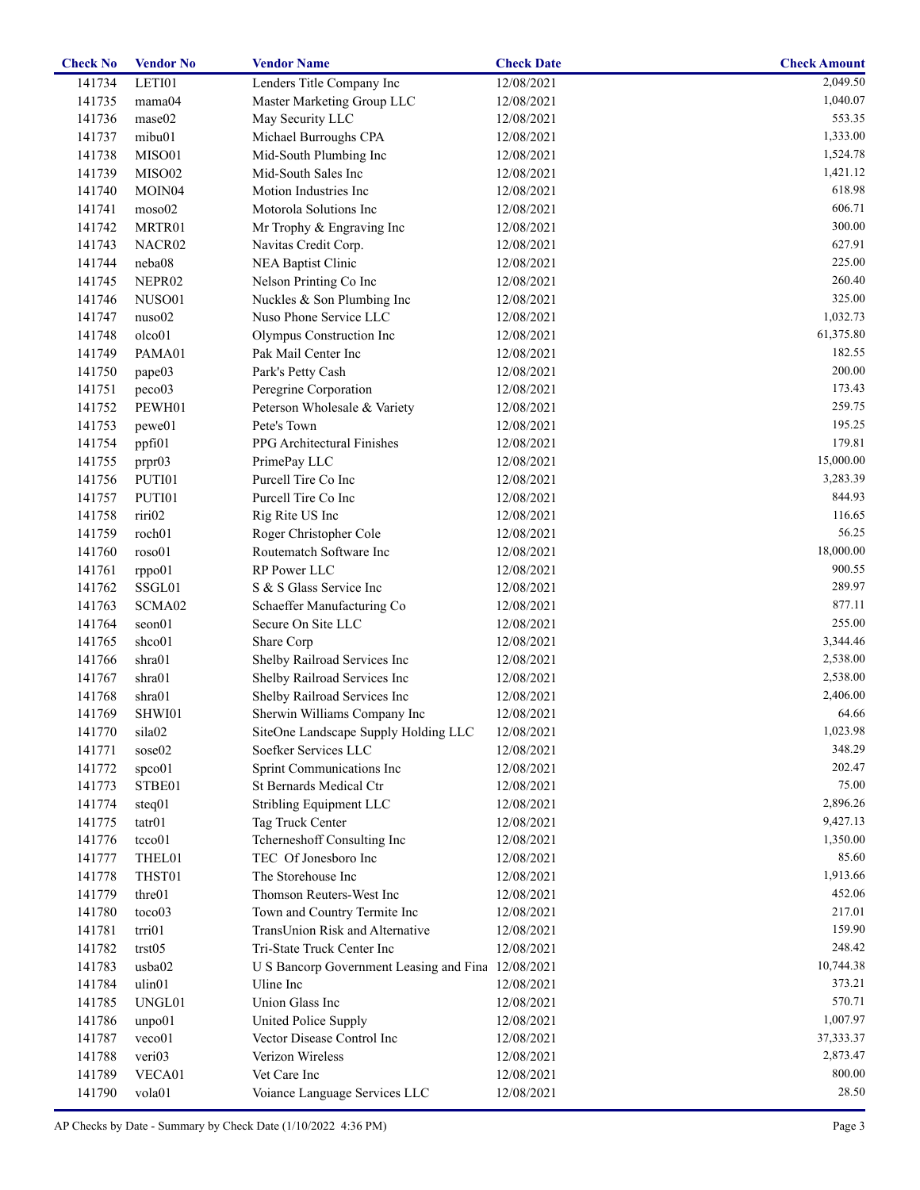| <b>Check No</b> | <b>Vendor No</b>   | <b>Vendor Name</b>                                 | <b>Check Date</b> | <b>Check Amount</b> |
|-----------------|--------------------|----------------------------------------------------|-------------------|---------------------|
| 141734          | LETI01             | Lenders Title Company Inc                          | 12/08/2021        | 2,049.50            |
| 141735          | mama04             | Master Marketing Group LLC                         | 12/08/2021        | 1,040.07            |
| 141736          | mase02             | May Security LLC                                   | 12/08/2021        | 553.35              |
| 141737          | mibu01             | Michael Burroughs CPA                              | 12/08/2021        | 1,333.00            |
| 141738          | MISO01             | Mid-South Plumbing Inc                             | 12/08/2021        | 1,524.78            |
| 141739          | MISO02             | Mid-South Sales Inc                                | 12/08/2021        | 1,421.12            |
| 141740          | MOIN <sub>04</sub> | Motion Industries Inc                              | 12/08/2021        | 618.98              |
| 141741          | moso02             | Motorola Solutions Inc                             | 12/08/2021        | 606.71              |
| 141742          | MRTR01             | Mr Trophy & Engraving Inc                          | 12/08/2021        | 300.00              |
| 141743          | NACR02             | Navitas Credit Corp.                               | 12/08/2021        | 627.91              |
| 141744          | neba08             | NEA Baptist Clinic                                 | 12/08/2021        | 225.00              |
| 141745          | NEPR02             | Nelson Printing Co Inc                             | 12/08/2021        | 260.40              |
| 141746          | NUSO01             | Nuckles & Son Plumbing Inc                         | 12/08/2021        | 325.00              |
| 141747          | nuso02             | Nuso Phone Service LLC                             | 12/08/2021        | 1,032.73            |
| 141748          | olco01             | Olympus Construction Inc                           | 12/08/2021        | 61,375.80           |
| 141749          | PAMA01             | Pak Mail Center Inc                                | 12/08/2021        | 182.55              |
|                 |                    |                                                    |                   | 200.00              |
| 141750          | pape03             | Park's Petty Cash                                  | 12/08/2021        | 173.43              |
| 141751          | peco03             | Peregrine Corporation                              | 12/08/2021        |                     |
| 141752          | PEWH01             | Peterson Wholesale & Variety                       | 12/08/2021        | 259.75              |
| 141753          | pewe01             | Pete's Town                                        | 12/08/2021        | 195.25              |
| 141754          | ppfi01             | PPG Architectural Finishes                         | 12/08/2021        | 179.81              |
| 141755          | prpr03             | PrimePay LLC                                       | 12/08/2021        | 15,000.00           |
| 141756          | PUTI01             | Purcell Tire Co Inc                                | 12/08/2021        | 3,283.39            |
| 141757          | PUTI01             | Purcell Tire Co Inc                                | 12/08/2021        | 844.93              |
| 141758          | riri02             | Rig Rite US Inc                                    | 12/08/2021        | 116.65              |
| 141759          | roch01             | Roger Christopher Cole                             | 12/08/2021        | 56.25               |
| 141760          | roso01             | Routematch Software Inc                            | 12/08/2021        | 18,000.00           |
| 141761          | rppo01             | RP Power LLC                                       | 12/08/2021        | 900.55              |
| 141762          | SSGL01             | S & S Glass Service Inc                            | 12/08/2021        | 289.97              |
| 141763          | SCMA02             | Schaeffer Manufacturing Co                         | 12/08/2021        | 877.11              |
| 141764          | seon01             | Secure On Site LLC                                 | 12/08/2021        | 255.00              |
| 141765          | shco01             | Share Corp                                         | 12/08/2021        | 3,344.46            |
| 141766          | shra01             | Shelby Railroad Services Inc                       | 12/08/2021        | 2,538.00            |
| 141767          | shra01             | Shelby Railroad Services Inc                       | 12/08/2021        | 2,538.00            |
| 141768          | shra01             | Shelby Railroad Services Inc                       | 12/08/2021        | 2,406.00            |
| 141769          | SHWI01             | Sherwin Williams Company Inc                       | 12/08/2021        | 64.66               |
| 141770          | sila02             | SiteOne Landscape Supply Holding LLC               | 12/08/2021        | 1,023.98            |
| 141771          | sose02             | Soefker Services LLC                               | 12/08/2021        | 348.29              |
| 141772          | spco01             | Sprint Communications Inc                          | 12/08/2021        | 202.47              |
| 141773          | STBE01             | St Bernards Medical Ctr                            | 12/08/2021        | 75.00               |
| 141774          | steq01             | Stribling Equipment LLC                            | 12/08/2021        | 2,896.26            |
| 141775          | $\arctan 01$       | Tag Truck Center                                   | 12/08/2021        | 9,427.13            |
| 141776          | tcco01             | Tcherneshoff Consulting Inc                        | 12/08/2021        | 1,350.00            |
| 141777          | THEL01             | TEC Of Jonesboro Inc                               | 12/08/2021        | 85.60               |
| 141778          | THST01             | The Storehouse Inc                                 | 12/08/2021        | 1,913.66            |
| 141779          | thre01             | Thomson Reuters-West Inc                           | 12/08/2021        | 452.06              |
| 141780          | toco03             | Town and Country Termite Inc                       | 12/08/2021        | 217.01              |
| 141781          | trri01             | TransUnion Risk and Alternative                    | 12/08/2021        | 159.90              |
| 141782          | trst05             | Tri-State Truck Center Inc                         | 12/08/2021        | 248.42              |
| 141783          | usba02             | U S Bancorp Government Leasing and Fina 12/08/2021 |                   | 10,744.38           |
| 141784          | ulin01             | Uline Inc                                          | 12/08/2021        | 373.21              |
| 141785          | UNGL01             | Union Glass Inc                                    | 12/08/2021        | 570.71              |
|                 |                    |                                                    |                   | 1,007.97            |
| 141786          | unpo01             | United Police Supply                               | 12/08/2021        |                     |
| 141787          | veco01             | Vector Disease Control Inc                         | 12/08/2021        | 37, 333. 37         |
| 141788          | veri03             | Verizon Wireless                                   | 12/08/2021        | 2,873.47            |
| 141789          | VECA01             | Vet Care Inc                                       | 12/08/2021        | 800.00              |
| 141790          | vola01             | Voiance Language Services LLC                      | 12/08/2021        | 28.50               |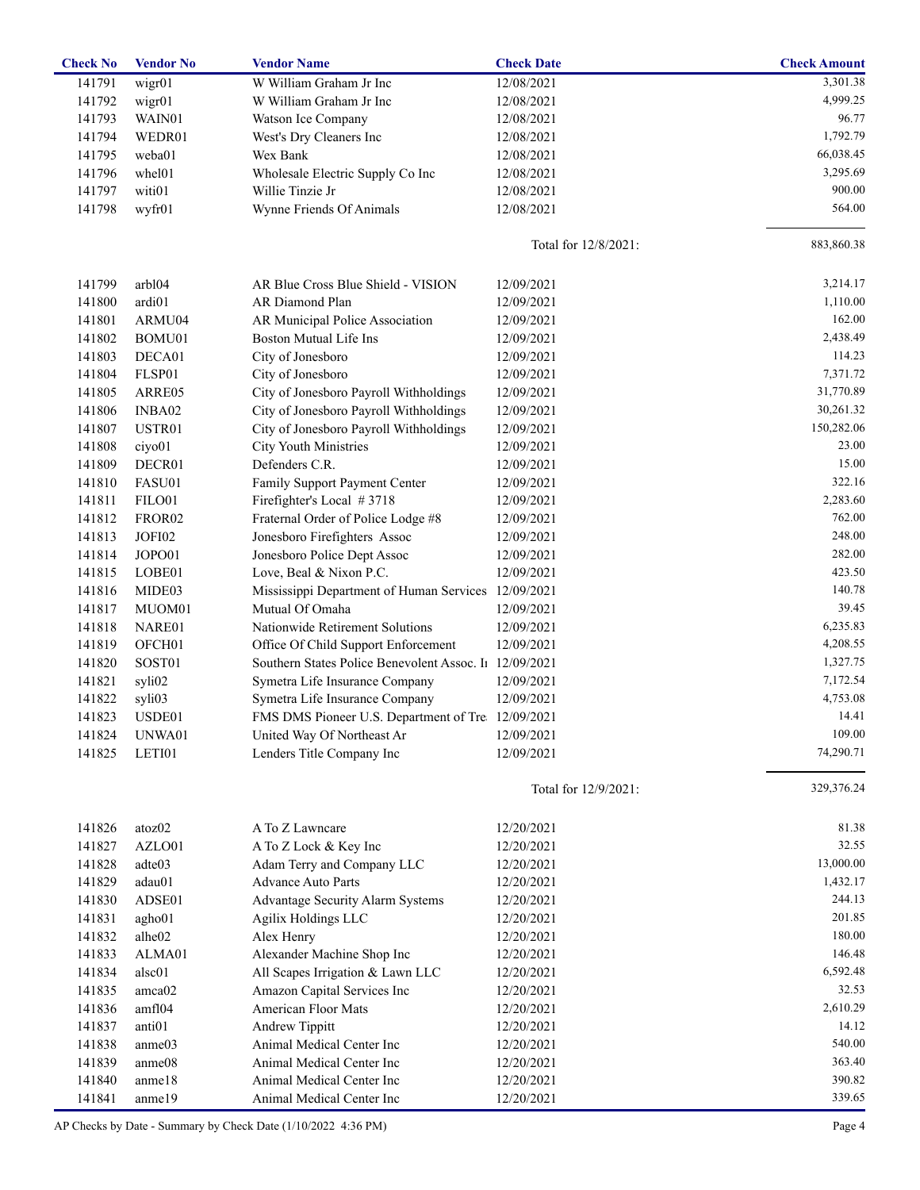| <b>Check No</b> | <b>Vendor No</b>   | <b>Vendor Name</b>                                | <b>Check Date</b>    | <b>Check Amount</b> |
|-----------------|--------------------|---------------------------------------------------|----------------------|---------------------|
| 141791          | wigr01             | W William Graham Jr Inc                           | 12/08/2021           | 3,301.38            |
| 141792          | wigr01             | W William Graham Jr Inc                           | 12/08/2021           | 4,999.25            |
| 141793          | WAIN01             | Watson Ice Company                                | 12/08/2021           | 96.77               |
| 141794          | WEDR01             | West's Dry Cleaners Inc                           | 12/08/2021           | 1,792.79            |
| 141795          | weba01             | Wex Bank                                          | 12/08/2021           | 66,038.45           |
| 141796          | whel01             | Wholesale Electric Supply Co Inc                  | 12/08/2021           | 3,295.69            |
| 141797          | witi01             | Willie Tinzie Jr                                  | 12/08/2021           | 900.00              |
| 141798          | wyfr01             | Wynne Friends Of Animals                          | 12/08/2021           | 564.00              |
|                 |                    |                                                   |                      |                     |
|                 |                    |                                                   | Total for 12/8/2021: | 883,860.38          |
| 141799          | arbl04             | AR Blue Cross Blue Shield - VISION                | 12/09/2021           | 3,214.17            |
| 141800          | ardi01             | AR Diamond Plan                                   | 12/09/2021           | 1,110.00            |
| 141801          | ARMU04             | AR Municipal Police Association                   | 12/09/2021           | 162.00              |
| 141802          | BOMU01             | Boston Mutual Life Ins                            | 12/09/2021           | 2,438.49            |
| 141803          | DECA01             | City of Jonesboro                                 | 12/09/2021           | 114.23              |
| 141804          | FLSP01             | City of Jonesboro                                 | 12/09/2021           | 7,371.72            |
| 141805          | ARRE05             | City of Jonesboro Payroll Withholdings            | 12/09/2021           | 31,770.89           |
| 141806          | INBA02             | City of Jonesboro Payroll Withholdings            | 12/09/2021           | 30,261.32           |
| 141807          | USTR01             | City of Jonesboro Payroll Withholdings            | 12/09/2021           | 150,282.06          |
| 141808          | ciyo01             | <b>City Youth Ministries</b>                      | 12/09/2021           | 23.00               |
| 141809          | DECR01             | Defenders C.R.                                    | 12/09/2021           | 15.00               |
| 141810          | FASU01             | Family Support Payment Center                     | 12/09/2021           | 322.16              |
| 141811          | FILO01             | Firefighter's Local #3718                         | 12/09/2021           | 2,283.60            |
| 141812          | FROR <sub>02</sub> | Fraternal Order of Police Lodge #8                | 12/09/2021           | 762.00              |
| 141813          | JOFI02             | Jonesboro Firefighters Assoc                      | 12/09/2021           | 248.00              |
| 141814          | JOPO01             | Jonesboro Police Dept Assoc                       | 12/09/2021           | 282.00              |
| 141815          | LOBE01             | Love, Beal & Nixon P.C.                           | 12/09/2021           | 423.50              |
| 141816          | MIDE03             | Mississippi Department of Human Services          | 12/09/2021           | 140.78              |
| 141817          | MUOM01             | Mutual Of Omaha                                   | 12/09/2021           | 39.45               |
| 141818          | NARE01             | Nationwide Retirement Solutions                   | 12/09/2021           | 6,235.83            |
| 141819          | OFCH <sub>01</sub> | Office Of Child Support Enforcement               | 12/09/2021           | 4,208.55            |
| 141820          | SOST01             | Southern States Police Benevolent Assoc. In       | 12/09/2021           | 1,327.75            |
| 141821          | syli02             | Symetra Life Insurance Company                    | 12/09/2021           | 7,172.54            |
| 141822          | syli03             | Symetra Life Insurance Company                    | 12/09/2021           | 4,753.08            |
| 141823          | USDE01             | FMS DMS Pioneer U.S. Department of Tre 12/09/2021 |                      | 14.41               |
| 141824          | UNWA01             | United Way Of Northeast Ar                        | 12/09/2021           | 109.00              |
| 141825          | LETI01             | Lenders Title Company Inc                         | 12/09/2021           | 74,290.71           |
|                 |                    |                                                   |                      |                     |
|                 |                    |                                                   | Total for 12/9/2021: | 329,376.24          |
| 141826          | atoz02             | A To Z Lawncare                                   | 12/20/2021           | 81.38               |
| 141827          | AZLO01             | A To Z Lock & Key Inc                             | 12/20/2021           | 32.55               |
| 141828          | adte03             | Adam Terry and Company LLC                        | 12/20/2021           | 13,000.00           |
| 141829          | adau01             | Advance Auto Parts                                | 12/20/2021           | 1,432.17            |
| 141830          | ADSE01             | Advantage Security Alarm Systems                  | 12/20/2021           | 244.13              |
| 141831          | agho01             | Agilix Holdings LLC                               | 12/20/2021           | 201.85              |
| 141832          | alhe02             | Alex Henry                                        | 12/20/2021           | 180.00              |
| 141833          | ALMA01             | Alexander Machine Shop Inc                        | 12/20/2021           | 146.48              |
| 141834          | alsc01             | All Scapes Irrigation & Lawn LLC                  | 12/20/2021           | 6,592.48            |
| 141835          | amca02             | Amazon Capital Services Inc                       | 12/20/2021           | 32.53               |
| 141836          | amf104             | American Floor Mats                               | 12/20/2021           | 2,610.29            |
| 141837          | anti <sub>01</sub> | Andrew Tippitt                                    | 12/20/2021           | 14.12               |
| 141838          | anme03             | Animal Medical Center Inc                         | 12/20/2021           | 540.00              |
| 141839          | anme08             | Animal Medical Center Inc                         | 12/20/2021           | 363.40              |
| 141840          | anme18             | Animal Medical Center Inc                         | 12/20/2021           | 390.82              |
|                 |                    |                                                   |                      | 339.65              |
| 141841          | anme19             | Animal Medical Center Inc                         | 12/20/2021           |                     |

AP Checks by Date - Summary by Check Date (1/10/2022 4:36 PM) Page 4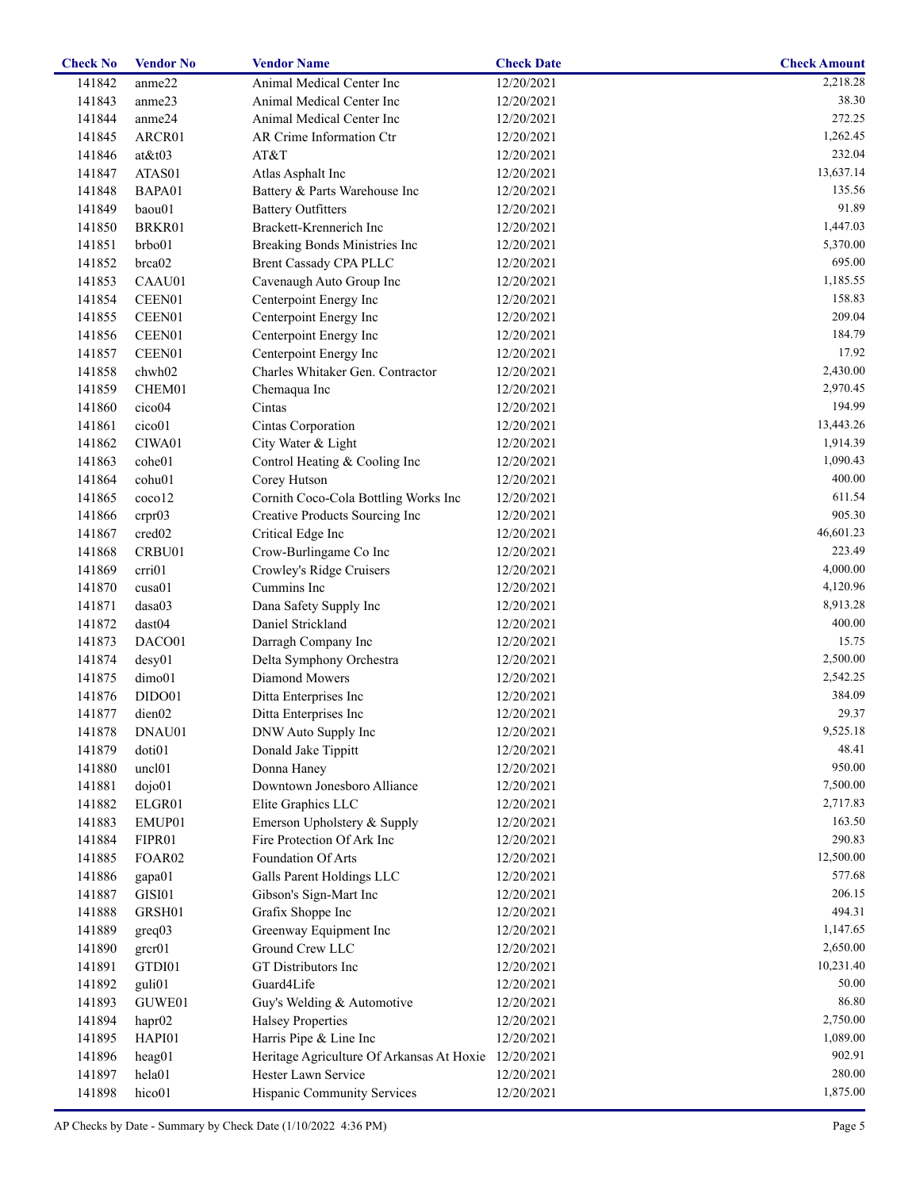| <b>Check No</b> | <b>Vendor No</b>     | <b>Vendor Name</b>                                   | <b>Check Date</b> | <b>Check Amount</b> |
|-----------------|----------------------|------------------------------------------------------|-------------------|---------------------|
| 141842          | anme22               | Animal Medical Center Inc                            | 12/20/2021        | 2,218.28            |
| 141843          | anme23               | Animal Medical Center Inc                            | 12/20/2021        | 38.30               |
| 141844          | anme24               | Animal Medical Center Inc                            | 12/20/2021        | 272.25              |
| 141845          | ARCR01               | AR Crime Information Ctr                             | 12/20/2021        | 1,262.45            |
| 141846          | $at \& t03$          | AT&T                                                 | 12/20/2021        | 232.04              |
| 141847          | ATAS01               | Atlas Asphalt Inc                                    | 12/20/2021        | 13,637.14           |
| 141848          | BAPA01               | Battery & Parts Warehouse Inc                        | 12/20/2021        | 135.56              |
| 141849          | baou01               | <b>Battery Outfitters</b>                            | 12/20/2021        | 91.89               |
| 141850          | BRKR01               | Brackett-Krennerich Inc                              | 12/20/2021        | 1,447.03            |
| 141851          | brbo01               | Breaking Bonds Ministries Inc                        | 12/20/2021        | 5,370.00            |
| 141852          | brca02               | <b>Brent Cassady CPA PLLC</b>                        | 12/20/2021        | 695.00              |
| 141853          | CAAU01               | Cavenaugh Auto Group Inc                             | 12/20/2021        | 1,185.55            |
| 141854          | CEEN01               | Centerpoint Energy Inc                               | 12/20/2021        | 158.83              |
| 141855          | CEEN01               | Centerpoint Energy Inc                               | 12/20/2021        | 209.04              |
| 141856          | CEEN01               | Centerpoint Energy Inc                               | 12/20/2021        | 184.79              |
| 141857          | CEEN01               | Centerpoint Energy Inc                               | 12/20/2021        | 17.92               |
| 141858          | chwh02               | Charles Whitaker Gen. Contractor                     | 12/20/2021        | 2,430.00            |
| 141859          | CHEM01               | Chemaqua Inc                                         | 12/20/2021        | 2,970.45            |
| 141860          | cico04               | Cintas                                               | 12/20/2021        | 194.99              |
| 141861          | cico01               | Cintas Corporation                                   | 12/20/2021        | 13,443.26           |
| 141862          | CIWA01               | City Water & Light                                   | 12/20/2021        | 1,914.39            |
| 141863          | cohe01               | Control Heating & Cooling Inc                        | 12/20/2021        | 1,090.43            |
| 141864          | cohu01               | Corey Hutson                                         | 12/20/2021        | 400.00              |
| 141865          | ccoc <sub>0</sub> 12 | Cornith Coco-Cola Bottling Works Inc                 | 12/20/2021        | 611.54              |
|                 |                      |                                                      |                   | 905.30              |
| 141866          | crpr03               | Creative Products Sourcing Inc                       | 12/20/2021        | 46,601.23           |
| 141867          | cred <sub>02</sub>   | Critical Edge Inc                                    | 12/20/2021        | 223.49              |
| 141868          | CRBU01               | Crow-Burlingame Co Inc                               | 12/20/2021        |                     |
| 141869          | crri01               | Crowley's Ridge Cruisers                             | 12/20/2021        | 4,000.00            |
| 141870          | cusa01               | Cummins Inc                                          | 12/20/2021        | 4,120.96            |
| 141871          | dasa03               | Dana Safety Supply Inc                               | 12/20/2021        | 8,913.28            |
| 141872          | dast04               | Daniel Strickland                                    | 12/20/2021        | 400.00              |
| 141873          | DACO01               | Darragh Company Inc                                  | 12/20/2021        | 15.75               |
| 141874          | desy01               | Delta Symphony Orchestra                             | 12/20/2021        | 2,500.00            |
| 141875          | dimo01               | Diamond Mowers                                       | 12/20/2021        | 2,542.25            |
| 141876          | DIDO01               | Ditta Enterprises Inc                                | 12/20/2021        | 384.09              |
| 141877          | dien02               | Ditta Enterprises Inc                                | 12/20/2021        | 29.37               |
| 141878          | DNAU01               | DNW Auto Supply Inc                                  | 12/20/2021        | 9,525.18            |
| 141879          | doti01               | Donald Jake Tippitt                                  | 12/20/2021        | 48.41               |
| 141880          | uncl <sub>01</sub>   | Donna Haney                                          | 12/20/2021        | 950.00              |
| 141881          | dojo01               | Downtown Jonesboro Alliance                          | 12/20/2021        | 7,500.00            |
| 141882          | ELGR01               | Elite Graphics LLC                                   | 12/20/2021        | 2,717.83            |
| 141883          | EMUP01               | Emerson Upholstery & Supply                          | 12/20/2021        | 163.50              |
| 141884          | FIPR01               | Fire Protection Of Ark Inc                           | 12/20/2021        | 290.83              |
| 141885          | FOAR02               | Foundation Of Arts                                   | 12/20/2021        | 12,500.00           |
| 141886          | gapa01               | Galls Parent Holdings LLC                            | 12/20/2021        | 577.68              |
| 141887          | GISI01               | Gibson's Sign-Mart Inc                               | 12/20/2021        | 206.15              |
| 141888          | GRSH01               | Grafix Shoppe Inc                                    | 12/20/2021        | 494.31              |
| 141889          | greq03               | Greenway Equipment Inc                               | 12/20/2021        | 1,147.65            |
| 141890          | grcr01               | Ground Crew LLC                                      | 12/20/2021        | 2,650.00            |
| 141891          | GTDI01               | GT Distributors Inc                                  | 12/20/2021        | 10,231.40           |
| 141892          | guli01               | Guard4Life                                           | 12/20/2021        | 50.00               |
| 141893          | GUWE01               | Guy's Welding & Automotive                           | 12/20/2021        | 86.80               |
| 141894          | hapr <sub>02</sub>   | <b>Halsey Properties</b>                             | 12/20/2021        | 2,750.00            |
| 141895          | HAPI01               | Harris Pipe & Line Inc                               | 12/20/2021        | 1,089.00            |
| 141896          | heag01               | Heritage Agriculture Of Arkansas At Hoxie 12/20/2021 |                   | 902.91              |
| 141897          | hela01               | Hester Lawn Service                                  | 12/20/2021        | 280.00              |
| 141898          | hico01               | Hispanic Community Services                          | 12/20/2021        | 1,875.00            |
|                 |                      |                                                      |                   |                     |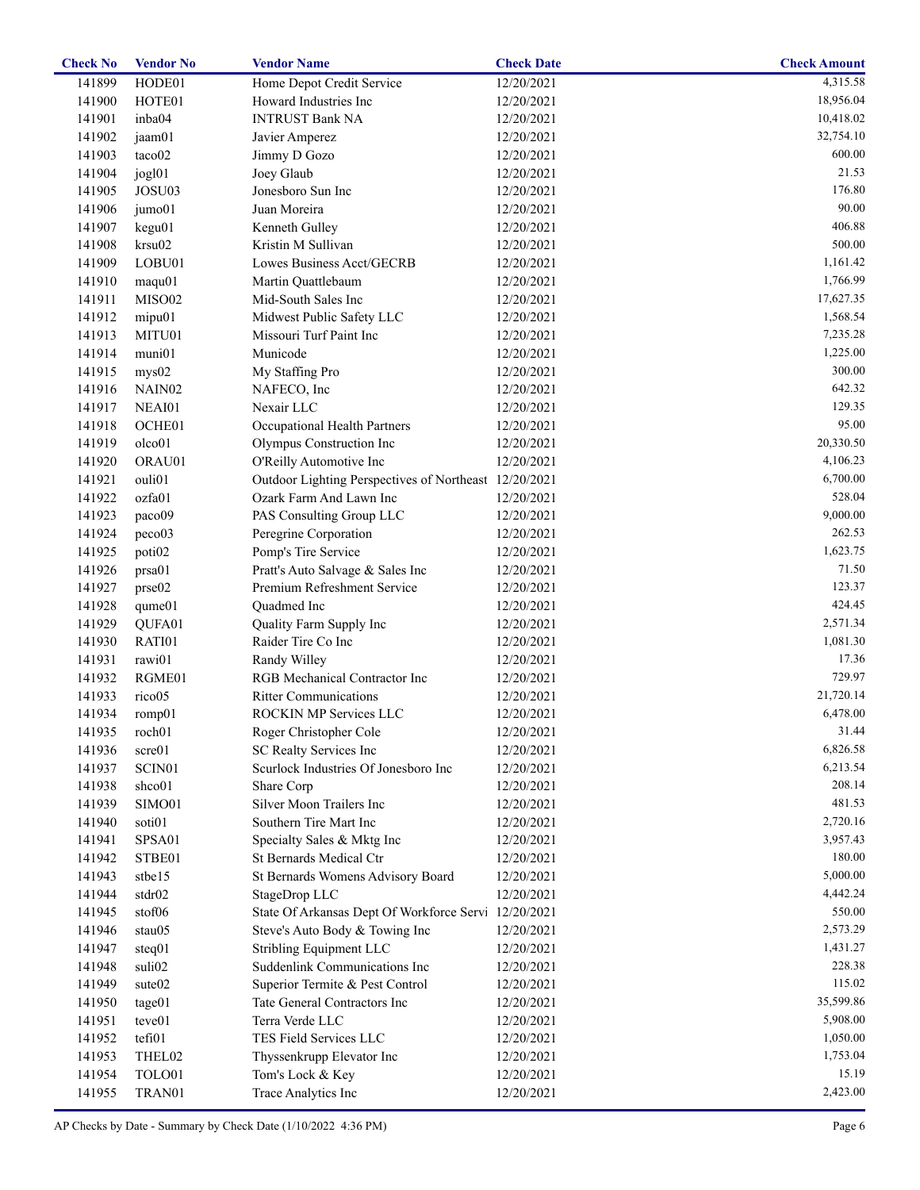| <b>Check No</b> | <b>Vendor No</b>               | <b>Vendor Name</b>                                             | <b>Check Date</b>        | <b>Check Amount</b> |
|-----------------|--------------------------------|----------------------------------------------------------------|--------------------------|---------------------|
| 141899          | HODE01                         | Home Depot Credit Service                                      | 12/20/2021               | 4,315.58            |
| 141900          | HOTE01                         | Howard Industries Inc                                          | 12/20/2021               | 18,956.04           |
| 141901          | inba04                         | <b>INTRUST Bank NA</b>                                         | 12/20/2021               | 10,418.02           |
| 141902          | jaam01                         | Javier Amperez                                                 | 12/20/2021               | 32,754.10           |
| 141903          | taco02                         | Jimmy D Gozo                                                   | 12/20/2021               | 600.00              |
| 141904          | jogl01                         | Joey Glaub                                                     | 12/20/2021               | 21.53               |
| 141905          | JOSU03                         | Jonesboro Sun Inc                                              | 12/20/2021               | 176.80              |
| 141906          | jumo01                         | Juan Moreira                                                   | 12/20/2021               | 90.00               |
| 141907          | kegu01                         | Kenneth Gulley                                                 | 12/20/2021               | 406.88              |
| 141908          | krsu02                         | Kristin M Sullivan                                             | 12/20/2021               | 500.00              |
| 141909          | LOBU01                         | Lowes Business Acct/GECRB                                      | 12/20/2021               | 1,161.42            |
| 141910          | maqu01                         | Martin Quattlebaum                                             | 12/20/2021               | 1,766.99            |
| 141911          | MISO02                         | Mid-South Sales Inc                                            | 12/20/2021               | 17,627.35           |
| 141912          | mipu01                         | Midwest Public Safety LLC                                      | 12/20/2021               | 1,568.54            |
| 141913          | MITU01                         | Missouri Turf Paint Inc                                        | 12/20/2021               | 7,235.28            |
| 141914          | muni01                         | Municode                                                       | 12/20/2021               | 1,225.00            |
| 141915          | mys02                          | My Staffing Pro                                                | 12/20/2021               | 300.00              |
| 141916          | NAIN <sub>02</sub>             | NAFECO, Inc                                                    | 12/20/2021               | 642.32              |
| 141917          | NEAI01                         | Nexair LLC                                                     | 12/20/2021               | 129.35              |
| 141918          | OCHE01                         | Occupational Health Partners                                   | 12/20/2021               | 95.00               |
| 141919          | olco01                         | Olympus Construction Inc                                       | 12/20/2021               | 20,330.50           |
| 141920          | ORAU01                         | O'Reilly Automotive Inc                                        | 12/20/2021               | 4,106.23            |
| 141921          | ouli01                         | Outdoor Lighting Perspectives of Northeast 12/20/2021          |                          | 6,700.00            |
| 141922          | ozfa01                         | Ozark Farm And Lawn Inc                                        | 12/20/2021               | 528.04              |
| 141923          | paco09                         | PAS Consulting Group LLC                                       | 12/20/2021               | 9,000.00            |
| 141924          | peco03                         | Peregrine Corporation                                          | 12/20/2021               | 262.53              |
| 141925          | poti02                         | Pomp's Tire Service                                            | 12/20/2021               | 1,623.75            |
| 141926          | prsa01                         | Pratt's Auto Salvage & Sales Inc                               | 12/20/2021               | 71.50               |
| 141927          | prse02                         | Premium Refreshment Service                                    | 12/20/2021               | 123.37              |
| 141928          | qume01                         | Quadmed Inc                                                    | 12/20/2021               | 424.45              |
| 141929          | QUFA01                         | Quality Farm Supply Inc                                        | 12/20/2021               | 2,571.34            |
| 141930          | RATI01                         | Raider Tire Co Inc                                             | 12/20/2021               | 1,081.30            |
| 141931          | rawi01                         | Randy Willey                                                   | 12/20/2021               | 17.36               |
| 141932          | RGME01                         | RGB Mechanical Contractor Inc                                  | 12/20/2021               | 729.97              |
| 141933          | rico05                         | <b>Ritter Communications</b>                                   | 12/20/2021               | 21,720.14           |
| 141934          | romp01                         | ROCKIN MP Services LLC                                         | 12/20/2021               | 6,478.00            |
| 141935          | roch01                         | Roger Christopher Cole                                         | 12/20/2021               | 31.44               |
|                 |                                |                                                                |                          | 6,826.58            |
| 141936          | scre01<br>SCIN01               | SC Realty Services Inc<br>Scurlock Industries Of Jonesboro Inc | 12/20/2021               | 6,213.54            |
| 141937          | shco01                         |                                                                | 12/20/2021               | 208.14              |
| 141938          |                                | Share Corp<br>Silver Moon Trailers Inc                         | 12/20/2021<br>12/20/2021 | 481.53              |
| 141939          | SIMO01                         | Southern Tire Mart Inc                                         | 12/20/2021               | 2,720.16            |
| 141940          | soti01                         |                                                                |                          |                     |
| 141941          | SPSA01                         | Specialty Sales & Mktg Inc<br>St Bernards Medical Ctr          | 12/20/2021               | 3,957.43<br>180.00  |
| 141942          | STBE01                         |                                                                | 12/20/2021               |                     |
| 141943          | stbe15                         | St Bernards Womens Advisory Board                              | 12/20/2021               | 5,000.00            |
| 141944          | $\ensuremath{\mathrm{stdr02}}$ | StageDrop LLC                                                  | 12/20/2021               | 4,442.24            |
| 141945          | stof06                         | State Of Arkansas Dept Of Workforce Servi 12/20/2021           |                          | 550.00              |
| 141946          | stau05                         | Steve's Auto Body & Towing Inc                                 | 12/20/2021               | 2,573.29            |
| 141947          | steq01                         | Stribling Equipment LLC                                        | 12/20/2021               | 1,431.27            |
| 141948          | suli02                         | Suddenlink Communications Inc                                  | 12/20/2021               | 228.38              |
| 141949          | sute <sub>02</sub>             | Superior Termite & Pest Control                                | 12/20/2021               | 115.02              |
| 141950          | tage01                         | Tate General Contractors Inc                                   | 12/20/2021               | 35,599.86           |
| 141951          | teve01                         | Terra Verde LLC                                                | 12/20/2021               | 5,908.00            |
| 141952          | tefi01                         | TES Field Services LLC                                         | 12/20/2021               | 1,050.00            |
| 141953          | THEL02                         | Thyssenkrupp Elevator Inc                                      | 12/20/2021               | 1,753.04            |
| 141954          | TOLO01                         | Tom's Lock & Key                                               | 12/20/2021               | 15.19               |
| 141955          | TRAN01                         | Trace Analytics Inc                                            | 12/20/2021               | 2,423.00            |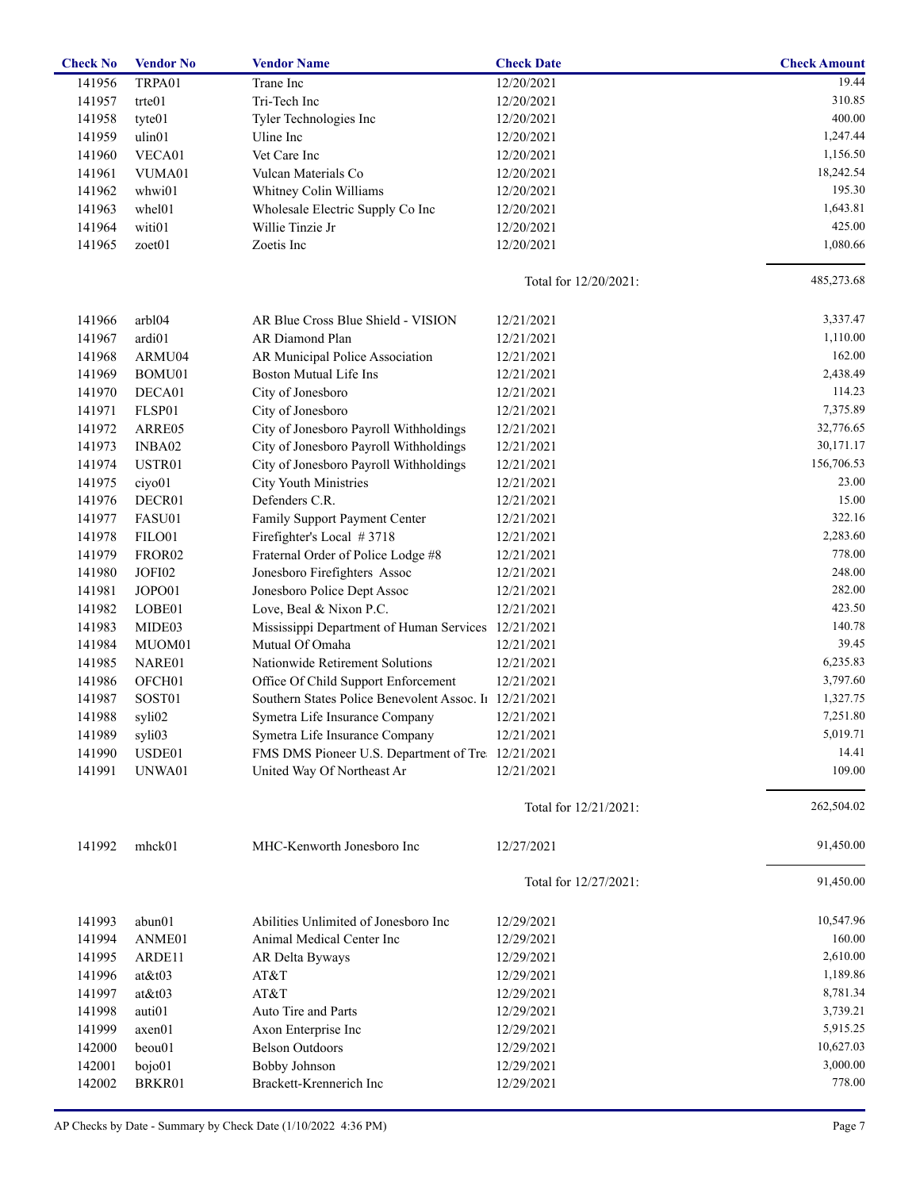| <b>Check No</b> | <b>Vendor No</b>   | <b>Vendor Name</b>                                     | <b>Check Date</b>        | <b>Check Amount</b> |
|-----------------|--------------------|--------------------------------------------------------|--------------------------|---------------------|
| 141956          | TRPA01             | Trane Inc                                              | 12/20/2021               | 19.44               |
| 141957          | trte01             | Tri-Tech Inc                                           | 12/20/2021               | 310.85              |
| 141958          | tyte01             | Tyler Technologies Inc                                 | 12/20/2021               | 400.00              |
| 141959          | ulin01             | Uline Inc                                              | 12/20/2021               | 1,247.44            |
| 141960          | VECA01             | Vet Care Inc                                           | 12/20/2021               | 1,156.50            |
| 141961          | VUMA01             | Vulcan Materials Co                                    | 12/20/2021               | 18,242.54           |
| 141962          | whwi01             | Whitney Colin Williams                                 | 12/20/2021               | 195.30              |
| 141963          | whel01             | Wholesale Electric Supply Co Inc                       | 12/20/2021               | 1,643.81            |
| 141964          | witi01             | Willie Tinzie Jr                                       | 12/20/2021               | 425.00              |
| 141965          | zoet01             | Zoetis Inc                                             | 12/20/2021               | 1,080.66            |
|                 |                    |                                                        | Total for $12/20/2021$ : | 485,273.68          |
| 141966          | arbl04             | AR Blue Cross Blue Shield - VISION                     | 12/21/2021               | 3,337.47            |
| 141967          | ardi01             | AR Diamond Plan                                        | 12/21/2021               | 1,110.00            |
| 141968          | ARMU04             | AR Municipal Police Association                        | 12/21/2021               | 162.00              |
| 141969          | BOMU01             | Boston Mutual Life Ins                                 | 12/21/2021               | 2,438.49            |
| 141970          | DECA01             | City of Jonesboro                                      | 12/21/2021               | 114.23              |
| 141971          | FLSP01             | City of Jonesboro                                      | 12/21/2021               | 7,375.89            |
| 141972          | ARRE05             | City of Jonesboro Payroll Withholdings                 | 12/21/2021               | 32,776.65           |
| 141973          | INBA02             | City of Jonesboro Payroll Withholdings                 | 12/21/2021               | 30,171.17           |
| 141974          | USTR01             | City of Jonesboro Payroll Withholdings                 | 12/21/2021               | 156,706.53          |
| 141975          | ciyo01             | <b>City Youth Ministries</b>                           | 12/21/2021               | 23.00               |
| 141976          | DECR01             | Defenders C.R.                                         | 12/21/2021               | 15.00               |
| 141977          | FASU01             | Family Support Payment Center                          | 12/21/2021               | 322.16              |
| 141978          | FILO01             | Firefighter's Local #3718                              | 12/21/2021               | 2,283.60            |
| 141979          | FROR <sub>02</sub> | Fraternal Order of Police Lodge #8                     | 12/21/2021               | 778.00              |
| 141980          | JOFI02             | Jonesboro Firefighters Assoc                           | 12/21/2021               | 248.00              |
| 141981          | JOPO01             | Jonesboro Police Dept Assoc                            | 12/21/2021               | 282.00              |
|                 |                    |                                                        |                          | 423.50              |
| 141982          | LOBE01             | Love, Beal & Nixon P.C.                                | 12/21/2021               | 140.78              |
| 141983          | MIDE03             | Mississippi Department of Human Services 12/21/2021    |                          | 39.45               |
| 141984          | MUOM01             | Mutual Of Omaha                                        | 12/21/2021               |                     |
| 141985          | NARE01             | Nationwide Retirement Solutions                        | 12/21/2021               | 6,235.83            |
| 141986          | OFCH <sub>01</sub> | Office Of Child Support Enforcement                    | 12/21/2021               | 3,797.60            |
| 141987          | SOST01             | Southern States Police Benevolent Assoc. I1 12/21/2021 |                          | 1,327.75            |
| 141988          | syli02             | Symetra Life Insurance Company                         | 12/21/2021               | 7,251.80            |
| 141989          | syli03             | Symetra Life Insurance Company                         | 12/21/2021               | 5,019.71            |
| 141990          | USDE01             | FMS DMS Pioneer U.S. Department of Tre 12/21/2021      |                          | 14.41               |
| 141991          | UNWA01             | United Way Of Northeast Ar                             | 12/21/2021               | 109.00              |
|                 |                    |                                                        | Total for 12/21/2021:    | 262,504.02          |
| 141992          | mhck01             | MHC-Kenworth Jonesboro Inc                             | 12/27/2021               | 91,450.00           |
|                 |                    |                                                        | Total for 12/27/2021:    | 91,450.00           |
| 141993          | abun01             | Abilities Unlimited of Jonesboro Inc                   | 12/29/2021               | 10,547.96           |
| 141994          | ANME01             | Animal Medical Center Inc                              | 12/29/2021               | 160.00              |
| 141995          | ARDE11             | AR Delta Byways                                        | 12/29/2021               | 2,610.00            |
| 141996          | $at$ &t $03$       | AT&T                                                   | 12/29/2021               | 1,189.86            |
| 141997          | $at$ &t $03$       | AT&T                                                   | 12/29/2021               | 8,781.34            |
| 141998          | auti01             | Auto Tire and Parts                                    | 12/29/2021               | 3,739.21            |
| 141999          | axen01             | Axon Enterprise Inc                                    | 12/29/2021               | 5,915.25            |
| 142000          | beou01             | <b>Belson Outdoors</b>                                 | 12/29/2021               | 10,627.03           |
| 142001          | bojo01             | <b>Bobby Johnson</b>                                   | 12/29/2021               | 3,000.00            |
| 142002          | BRKR01             | Brackett-Krennerich Inc                                | 12/29/2021               | 778.00              |
|                 |                    |                                                        |                          |                     |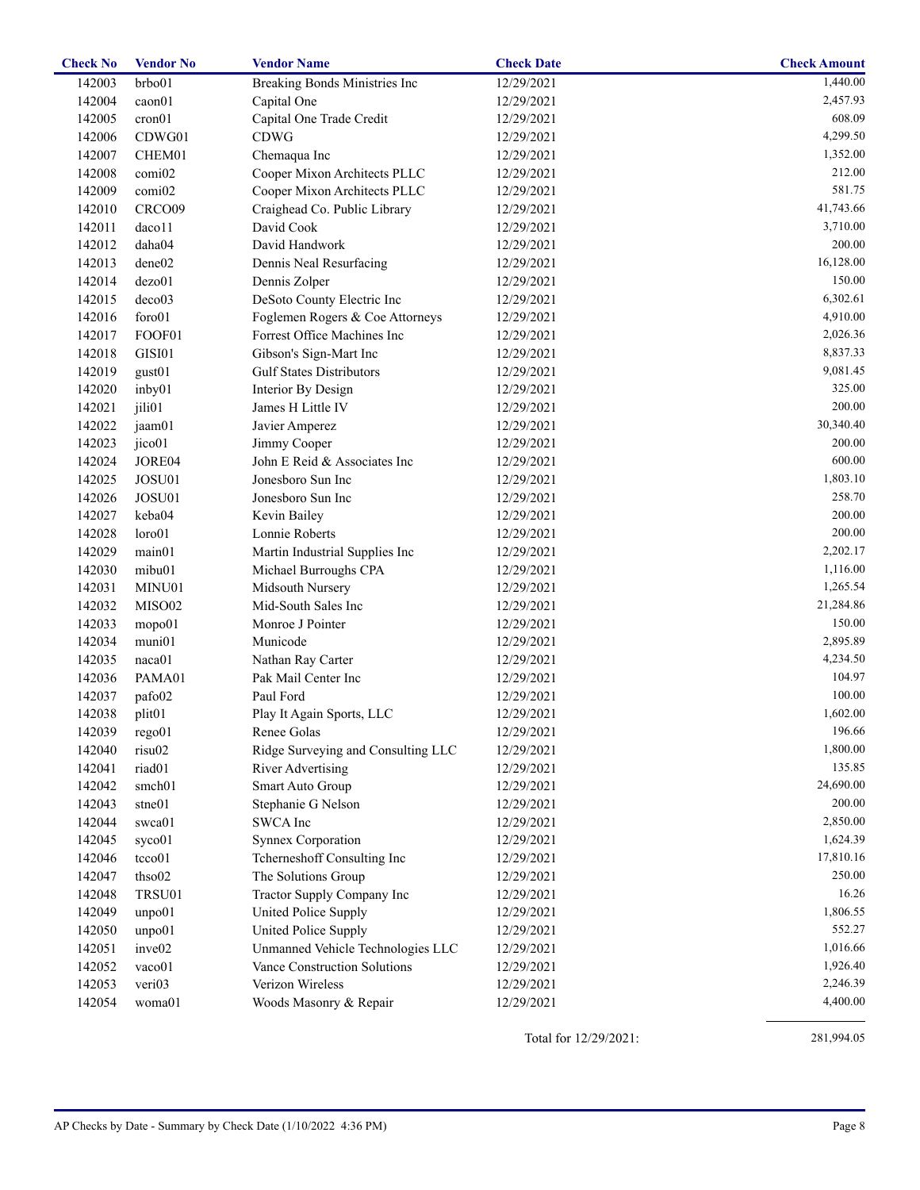| <b>Check No</b> | <b>Vendor No</b>   | <b>Vendor Name</b>                 | <b>Check Date</b> | <b>Check Amount</b> |
|-----------------|--------------------|------------------------------------|-------------------|---------------------|
| 142003          | brbo01             | Breaking Bonds Ministries Inc      | 12/29/2021        | 1,440.00            |
| 142004          | caon01             | Capital One                        | 12/29/2021        | 2,457.93            |
| 142005          | cron01             | Capital One Trade Credit           | 12/29/2021        | 608.09              |
| 142006          | CDWG01             | <b>CDWG</b>                        | 12/29/2021        | 4,299.50            |
| 142007          | CHEM01             | Chemaqua Inc                       | 12/29/2021        | 1,352.00            |
| 142008          | comi02             | Cooper Mixon Architects PLLC       | 12/29/2021        | 212.00              |
| 142009          | comi02             | Cooper Mixon Architects PLLC       | 12/29/2021        | 581.75              |
| 142010          | CRCO09             | Craighead Co. Public Library       | 12/29/2021        | 41,743.66           |
| 142011          | daco11             | David Cook                         | 12/29/2021        | 3,710.00            |
| 142012          | daha04             | David Handwork                     | 12/29/2021        | 200.00              |
| 142013          | dene02             | Dennis Neal Resurfacing            | 12/29/2021        | 16,128.00           |
| 142014          | dezo01             | Dennis Zolper                      | 12/29/2021        | 150.00              |
| 142015          | deco03             | DeSoto County Electric Inc         | 12/29/2021        | 6,302.61            |
| 142016          | foro01             | Foglemen Rogers & Coe Attorneys    | 12/29/2021        | 4,910.00            |
| 142017          | FOOF01             | Forrest Office Machines Inc        | 12/29/2021        | 2,026.36            |
| 142018          | GISI01             | Gibson's Sign-Mart Inc             | 12/29/2021        | 8,837.33            |
| 142019          | gust01             | <b>Gulf States Distributors</b>    | 12/29/2021        | 9,081.45            |
| 142020          | inby01             | Interior By Design                 | 12/29/2021        | 325.00              |
| 142021          | jili01             | James H Little IV                  | 12/29/2021        | 200.00              |
| 142022          | jaam01             | Javier Amperez                     | 12/29/2021        | 30,340.40           |
| 142023          | jico01             | Jimmy Cooper                       | 12/29/2021        | 200.00              |
| 142024          | JORE04             | John E Reid & Associates Inc       | 12/29/2021        | 600.00              |
| 142025          | JOSU01             | Jonesboro Sun Inc                  | 12/29/2021        | 1,803.10            |
| 142026          | JOSU01             | Jonesboro Sun Inc                  | 12/29/2021        | 258.70              |
|                 | keba04             |                                    |                   | 200.00              |
| 142027          | loro01             | Kevin Bailey<br>Lonnie Roberts     | 12/29/2021        | 200.00              |
| 142028          |                    |                                    | 12/29/2021        |                     |
| 142029          | main01             | Martin Industrial Supplies Inc     | 12/29/2021        | 2,202.17            |
| 142030          | mibu01             | Michael Burroughs CPA              | 12/29/2021        | 1,116.00            |
| 142031          | MINU01             | Midsouth Nursery                   | 12/29/2021        | 1,265.54            |
| 142032          | MISO02             | Mid-South Sales Inc                | 12/29/2021        | 21,284.86           |
| 142033          | mopo01             | Monroe J Pointer                   | 12/29/2021        | 150.00              |
| 142034          | muni01             | Municode                           | 12/29/2021        | 2,895.89            |
| 142035          | naca01             | Nathan Ray Carter                  | 12/29/2021        | 4,234.50            |
| 142036          | PAMA01             | Pak Mail Center Inc                | 12/29/2021        | 104.97              |
| 142037          | pafo02             | Paul Ford                          | 12/29/2021        | 100.00              |
| 142038          | plit <sub>01</sub> | Play It Again Sports, LLC          | 12/29/2021        | 1,602.00            |
| 142039          | rego01             | Renee Golas                        | 12/29/2021        | 196.66              |
| 142040          | risu02             | Ridge Surveying and Consulting LLC | 12/29/2021        | 1,800.00            |
| 142041          | riad01             | <b>River Advertising</b>           | 12/29/2021        | 135.85              |
| 142042          | smch01             | Smart Auto Group                   | 12/29/2021        | 24,690.00           |
| 142043          | stne01             | Stephanie G Nelson                 | 12/29/2021        | 200.00              |
| 142044          | swca01             | SWCA Inc                           | 12/29/2021        | 2,850.00            |
| 142045          | syco01             | <b>Synnex Corporation</b>          | 12/29/2021        | 1,624.39            |
| 142046          | tcco01             | Tcherneshoff Consulting Inc        | 12/29/2021        | 17,810.16           |
| 142047          | thso02             | The Solutions Group                | 12/29/2021        | 250.00              |
| 142048          | TRSU01             | Tractor Supply Company Inc         | 12/29/2021        | 16.26               |
| 142049          | unpo01             | United Police Supply               | 12/29/2021        | 1,806.55            |
| 142050          | unpo01             | United Police Supply               | 12/29/2021        | 552.27              |
| 142051          | inve <sub>02</sub> | Unmanned Vehicle Technologies LLC  | 12/29/2021        | 1,016.66            |
| 142052          | vaco01             | Vance Construction Solutions       | 12/29/2021        | 1,926.40            |
| 142053          | veri03             | Verizon Wireless                   | 12/29/2021        | 2,246.39            |
| 142054          | woma01             | Woods Masonry & Repair             | 12/29/2021        | 4,400.00            |
|                 |                    |                                    |                   |                     |

Total for 12/29/2021:

281,994.05